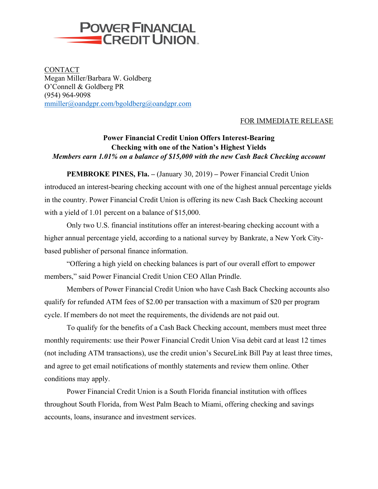

CONTACT Megan Miller/Barbara W. Goldberg O'Connell & Goldberg PR (954) 964-9098 mmiller@oandgpr.com/bgoldberg@oandgpr.com

## FOR IMMEDIATE RELEASE

## **Power Financial Credit Union Offers Interest-Bearing Checking with one of the Nation's Highest Yields** *Members earn 1.01% on a balance of \$15,000 with the new Cash Back Checking account*

**PEMBROKE PINES, Fla. –** (January 30, 2019) **–** Power Financial Credit Union introduced an interest-bearing checking account with one of the highest annual percentage yields in the country. Power Financial Credit Union is offering its new Cash Back Checking account with a yield of 1.01 percent on a balance of \$15,000.

Only two U.S. financial institutions offer an interest-bearing checking account with a higher annual percentage yield, according to a national survey by Bankrate, a New York Citybased publisher of personal finance information.

"Offering a high yield on checking balances is part of our overall effort to empower members," said Power Financial Credit Union CEO Allan Prindle.

Members of Power Financial Credit Union who have Cash Back Checking accounts also qualify for refunded ATM fees of \$2.00 per transaction with a maximum of \$20 per program cycle. If members do not meet the requirements, the dividends are not paid out.

To qualify for the benefits of a Cash Back Checking account, members must meet three monthly requirements: use their Power Financial Credit Union Visa debit card at least 12 times (not including ATM transactions), use the credit union's SecureLink Bill Pay at least three times, and agree to get email notifications of monthly statements and review them online. Other conditions may apply.

Power Financial Credit Union is a South Florida financial institution with offices throughout South Florida, from West Palm Beach to Miami, offering checking and savings accounts, loans, insurance and investment services.